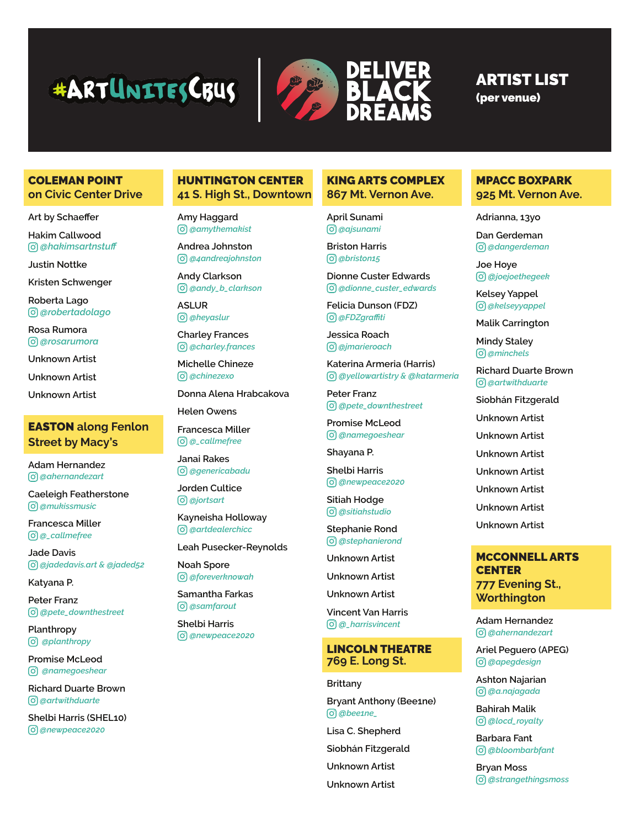# **#ARTUNITESCRUS**



# ARTIST LIST

(per venue)

#### COLEMAN POINT **on Civic Center Drive**

**Art by Schaeffer**

**Hakim Callwood** *@hakimsartnstuff*

**Justin Nottke**

**Kristen Schwenger**

**Roberta Lago** *@robertadolago*

**Rosa Rumora**  *@rosarumora*

**Unknown Artist**

**Unknown Artist**

**Unknown Artist**

# EASTON **along Fenlon Street by Macy's**

**Adam Hernandez** *@ahernandezart*

**Caeleigh Featherstone** *@mukissmusic*

**Francesca Miller**  *@\_callmefree*

**Jade Davis** *@jadedavis.art & @jaded52*

**Katyana P.**

**Peter Franz**  *@pete\_downthestreet*

**Planthropy**   *@planthropy*

**Promise McLeod**   *@namegoeshear*

**Richard Duarte Brown** *@artwithduarte*

**Shelbi Harris (SHEL10)** *@newpeace2020*

## HUNTINGTON CENTER **41 S. High St., Downtown**

**Amy Haggard** *@amythemakist*

**Andrea Johnston** *@4andreajohnston*

**Andy Clarkson** *@andy\_b\_clarkson*

**ASLUR**  *@heyaslur*

**Charley Frances** *@charley.frances*

**Michelle Chineze** *@chinezexo*

**Donna Alena Hrabcakova**

**Helen Owens**

**Francesca Miller** *@\_callmefree*

**Janai Rakes** *@genericabadu*

**Jorden Cultice** *@jortsart*

**Kayneisha Holloway** *@artdealerchicc*

**Leah Pusecker-Reynolds**

**Noah Spore** *@foreverknowah*

**Samantha Farkas** *@samfarout*

**Shelbi Harris** *@newpeace2020*

# KING ARTS COMPLEX **867 Mt. Vernon Ave.**

**April Sunami**  *@ajsunami*

**Briston Harris**  *@briston15*

**Dionne Custer Edwards** *@dionne\_custer\_edwards*

**Felicia Dunson (FDZ)**  *@FDZgraffiti*

**Jessica Roach**  *@jmarieroach*

**Katerina Armeria (Harris)** *@yellowartistry & @katarmeria*

**Peter Franz**  *@pete\_downthestreet*

**Promise McLeod** *@namegoeshear*

**Shayana P.**

**Shelbi Harris** *@newpeace2020*

**Sitiah Hodge**  *@sitiahstudio*

**Stephanie Rond** *@stephanierond*

**Unknown Artist**

**Unknown Artist**

**Unknown Artist**

**Vincent Van Harris** *@\_harrisvincent*

#### LINCOLN THEATRE **769 E. Long St.**

**Brittany**

**Bryant Anthony (Bee1ne)** *@bee1ne\_*

**Lisa C. Shepherd**

**Siobhán Fitzgerald**

**Unknown Artist**

**Unknown Artist**

#### MPACC BOXPARK **925 Mt. Vernon Ave.**

**Adrianna, 13yo**

**Dan Gerdeman** *@dangerdeman*

**Joe Hoye**  *@joejoethegeek*

**Kelsey Yappel**  *@kelseyyappel*

**Malik Carrington** 

**Mindy Staley**  *@minchels*

**Richard Duarte Brown**  *@artwithduarte*

**Siobhán Fitzgerald**

**Unknown Artist**

**Unknown Artist**

**Unknown Artist**

**Unknown Artist**

**Unknown Artist**

**Unknown Artist**

**Unknown Artist**

## MCCONNELL ARTS **CENTER 777 Evening St., Worthington**

**Adam Hernandez** *@ahernandezart*

**Ariel Peguero (APEG)** *@apegdesign*

**Ashton Najarian** *@a.najagada*

**Bahirah Malik**  *@locd\_royalty*

**Barbara Fant**  *@bloombarbfant*

**Bryan Moss** *@strangethingsmoss*